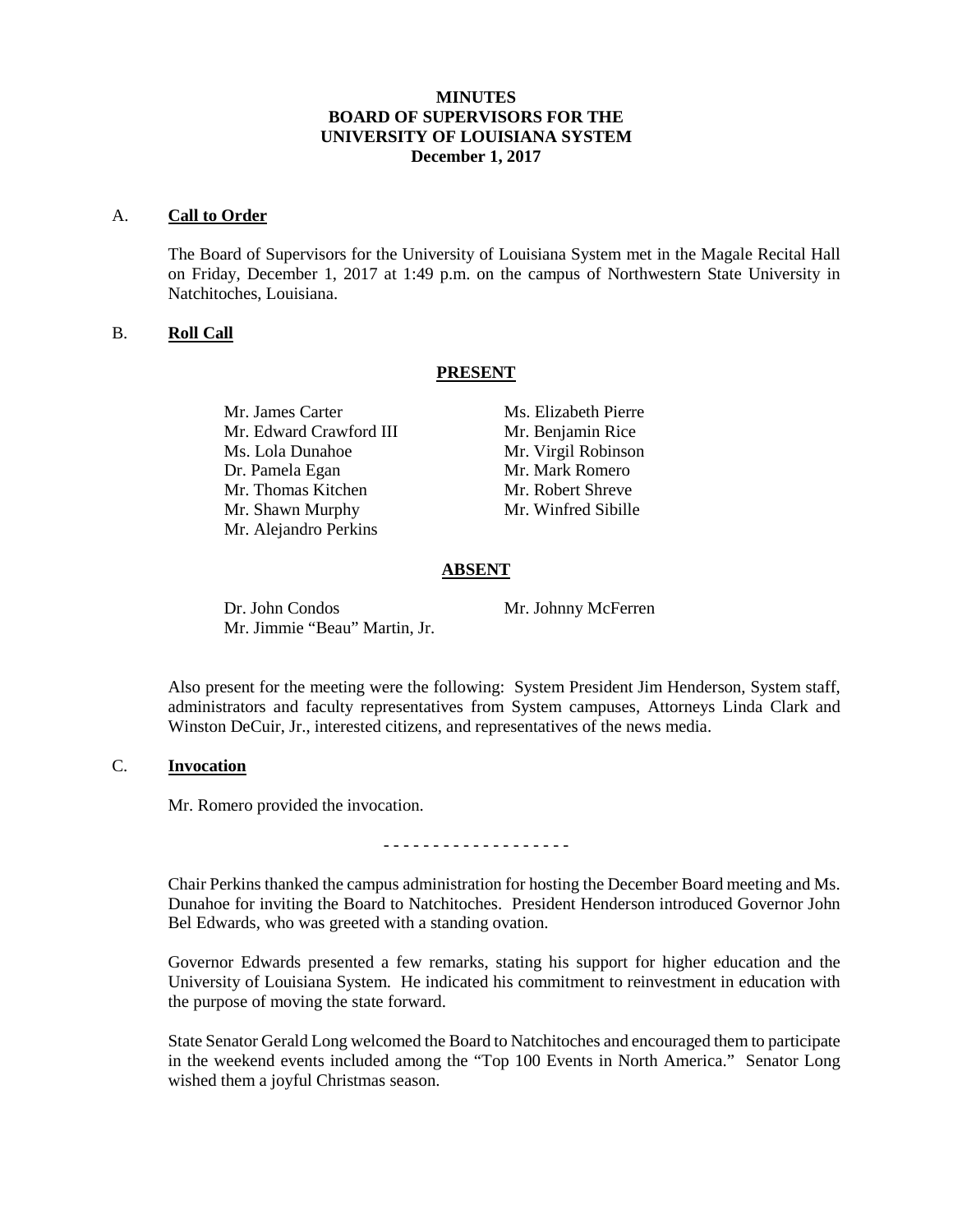# **MINUTES BOARD OF SUPERVISORS FOR THE UNIVERSITY OF LOUISIANA SYSTEM December 1, 2017**

#### A. **Call to Order**

The Board of Supervisors for the University of Louisiana System met in the Magale Recital Hall on Friday, December 1, 2017 at 1:49 p.m. on the campus of Northwestern State University in Natchitoches, Louisiana.

# B. **Roll Call**

### **PRESENT**

Mr. Edward Crawford III Mr. Benjamin Rice Ms. Lola Dunahoe Mr. Virgil Robinson Dr. Pamela Egan Mr. Mark Romero Mr. Thomas Kitchen Mr. Robert Shreve Mr. Shawn Murphy Mr. Winfred Sibille Mr. Alejandro Perkins

Mr. James Carter Ms. Elizabeth Pierre

### **ABSENT**

Dr. John Condos Mr. Johnny McFerren Mr. Jimmie "Beau" Martin, Jr.

Also present for the meeting were the following: System President Jim Henderson, System staff, administrators and faculty representatives from System campuses, Attorneys Linda Clark and Winston DeCuir, Jr., interested citizens, and representatives of the news media.

# C. **Invocation**

Mr. Romero provided the invocation.

- - - - - - - - - - - - - - - - - - -

Chair Perkins thanked the campus administration for hosting the December Board meeting and Ms. Dunahoe for inviting the Board to Natchitoches. President Henderson introduced Governor John Bel Edwards, who was greeted with a standing ovation.

Governor Edwards presented a few remarks, stating his support for higher education and the University of Louisiana System. He indicated his commitment to reinvestment in education with the purpose of moving the state forward.

State Senator Gerald Long welcomed the Board to Natchitoches and encouraged them to participate in the weekend events included among the "Top 100 Events in North America." Senator Long wished them a joyful Christmas season.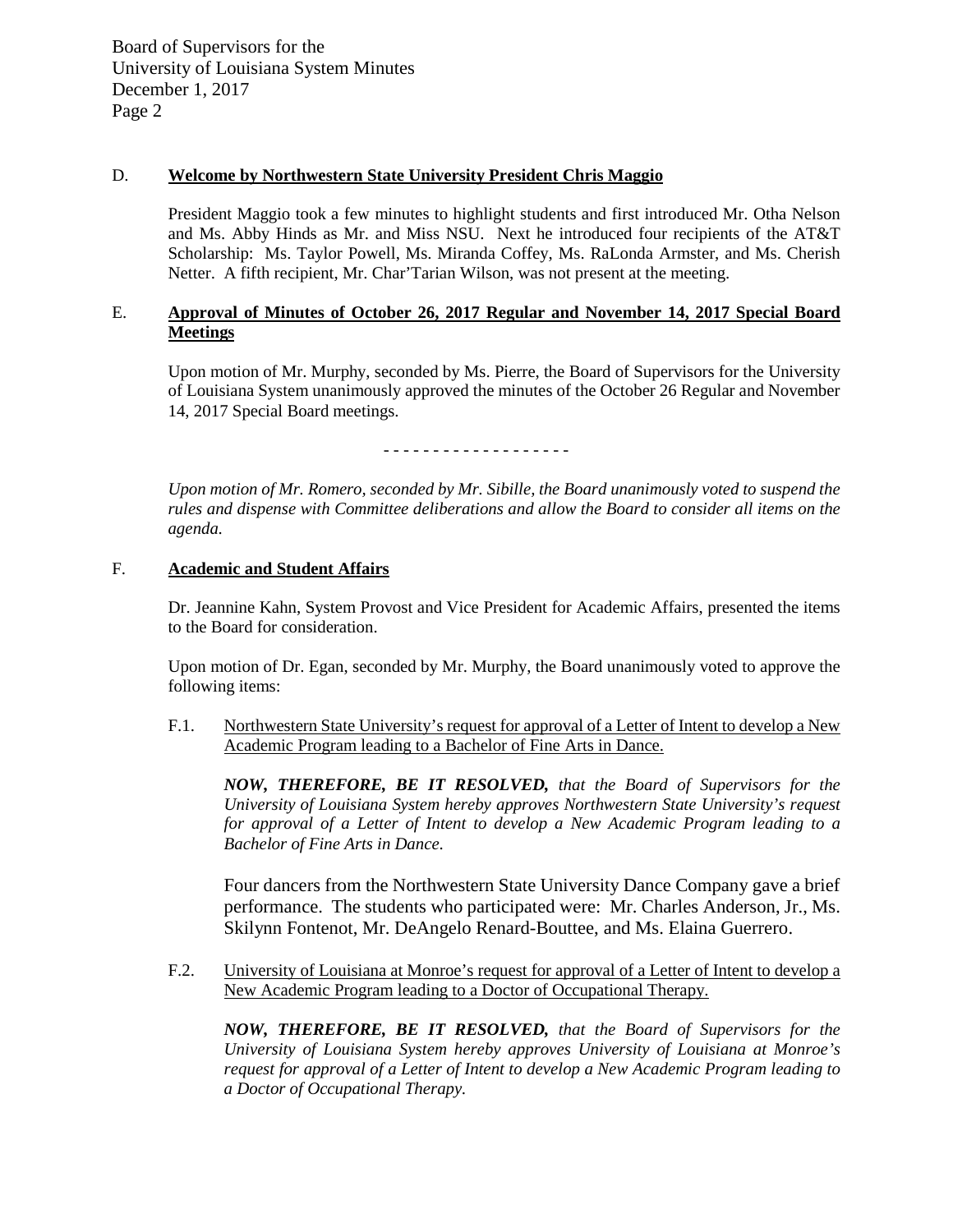# D. **Welcome by Northwestern State University President Chris Maggio**

President Maggio took a few minutes to highlight students and first introduced Mr. Otha Nelson and Ms. Abby Hinds as Mr. and Miss NSU. Next he introduced four recipients of the AT&T Scholarship: Ms. Taylor Powell, Ms. Miranda Coffey, Ms. RaLonda Armster, and Ms. Cherish Netter. A fifth recipient, Mr. Char'Tarian Wilson, was not present at the meeting.

# E. **Approval of Minutes of October 26, 2017 Regular and November 14, 2017 Special Board Meetings**

Upon motion of Mr. Murphy, seconded by Ms. Pierre, the Board of Supervisors for the University of Louisiana System unanimously approved the minutes of the October 26 Regular and November 14, 2017 Special Board meetings.

- - - - - - - - - - - - - - - - - - -

*Upon motion of Mr. Romero, seconded by Mr. Sibille, the Board unanimously voted to suspend the rules and dispense with Committee deliberations and allow the Board to consider all items on the agenda.*

## F. **Academic and Student Affairs**

Dr. Jeannine Kahn, System Provost and Vice President for Academic Affairs, presented the items to the Board for consideration.

Upon motion of Dr. Egan, seconded by Mr. Murphy, the Board unanimously voted to approve the following items:

F.1. Northwestern State University's request for approval of a Letter of Intent to develop a New Academic Program leading to a Bachelor of Fine Arts in Dance.

*NOW, THEREFORE, BE IT RESOLVED, that the Board of Supervisors for the University of Louisiana System hereby approves Northwestern State University's request for approval of a Letter of Intent to develop a New Academic Program leading to a Bachelor of Fine Arts in Dance.*

Four dancers from the Northwestern State University Dance Company gave a brief performance. The students who participated were: Mr. Charles Anderson, Jr., Ms. Skilynn Fontenot, Mr. DeAngelo Renard-Bouttee, and Ms. Elaina Guerrero.

F.2. University of Louisiana at Monroe's request for approval of a Letter of Intent to develop a New Academic Program leading to a Doctor of Occupational Therapy.

*NOW, THEREFORE, BE IT RESOLVED, that the Board of Supervisors for the University of Louisiana System hereby approves University of Louisiana at Monroe's request for approval of a Letter of Intent to develop a New Academic Program leading to a Doctor of Occupational Therapy.*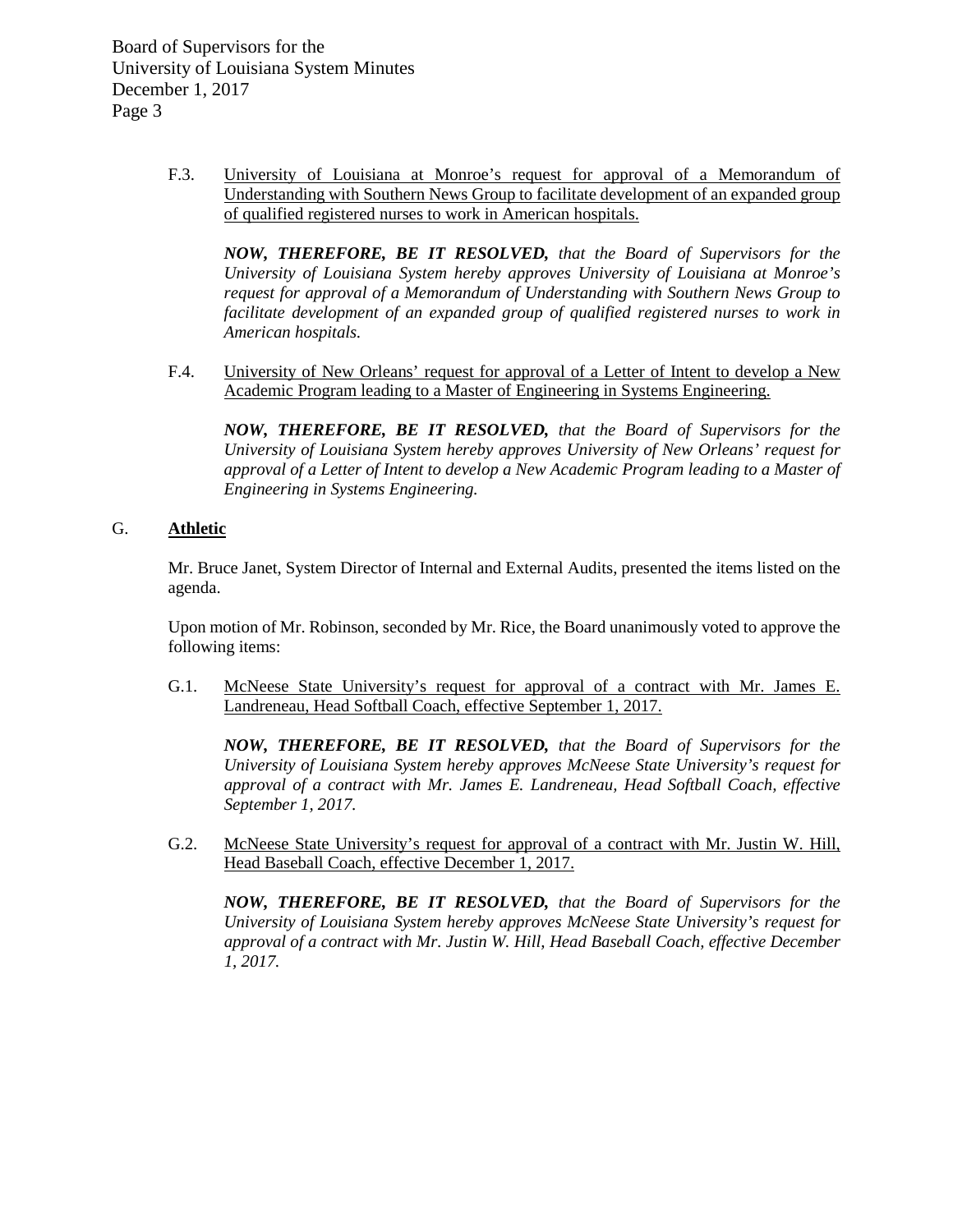> F.3. University of Louisiana at Monroe's request for approval of a Memorandum of Understanding with Southern News Group to facilitate development of an expanded group of qualified registered nurses to work in American hospitals.

*NOW, THEREFORE, BE IT RESOLVED, that the Board of Supervisors for the University of Louisiana System hereby approves University of Louisiana at Monroe's request for approval of a Memorandum of Understanding with Southern News Group to facilitate development of an expanded group of qualified registered nurses to work in American hospitals.*

F.4. University of New Orleans' request for approval of a Letter of Intent to develop a New Academic Program leading to a Master of Engineering in Systems Engineering.

*NOW, THEREFORE, BE IT RESOLVED, that the Board of Supervisors for the University of Louisiana System hereby approves University of New Orleans' request for approval of a Letter of Intent to develop a New Academic Program leading to a Master of Engineering in Systems Engineering.* 

## G. **Athletic**

Mr. Bruce Janet, System Director of Internal and External Audits, presented the items listed on the agenda.

Upon motion of Mr. Robinson, seconded by Mr. Rice, the Board unanimously voted to approve the following items:

G.1. McNeese State University's request for approval of a contract with Mr. James E. Landreneau, Head Softball Coach, effective September 1, 2017.

*NOW, THEREFORE, BE IT RESOLVED, that the Board of Supervisors for the University of Louisiana System hereby approves McNeese State University's request for approval of a contract with Mr. James E. Landreneau, Head Softball Coach, effective September 1, 2017.*

G.2. McNeese State University's request for approval of a contract with Mr. Justin W. Hill, Head Baseball Coach, effective December 1, 2017.

*NOW, THEREFORE, BE IT RESOLVED, that the Board of Supervisors for the University of Louisiana System hereby approves McNeese State University's request for approval of a contract with Mr. Justin W. Hill, Head Baseball Coach, effective December 1, 2017.*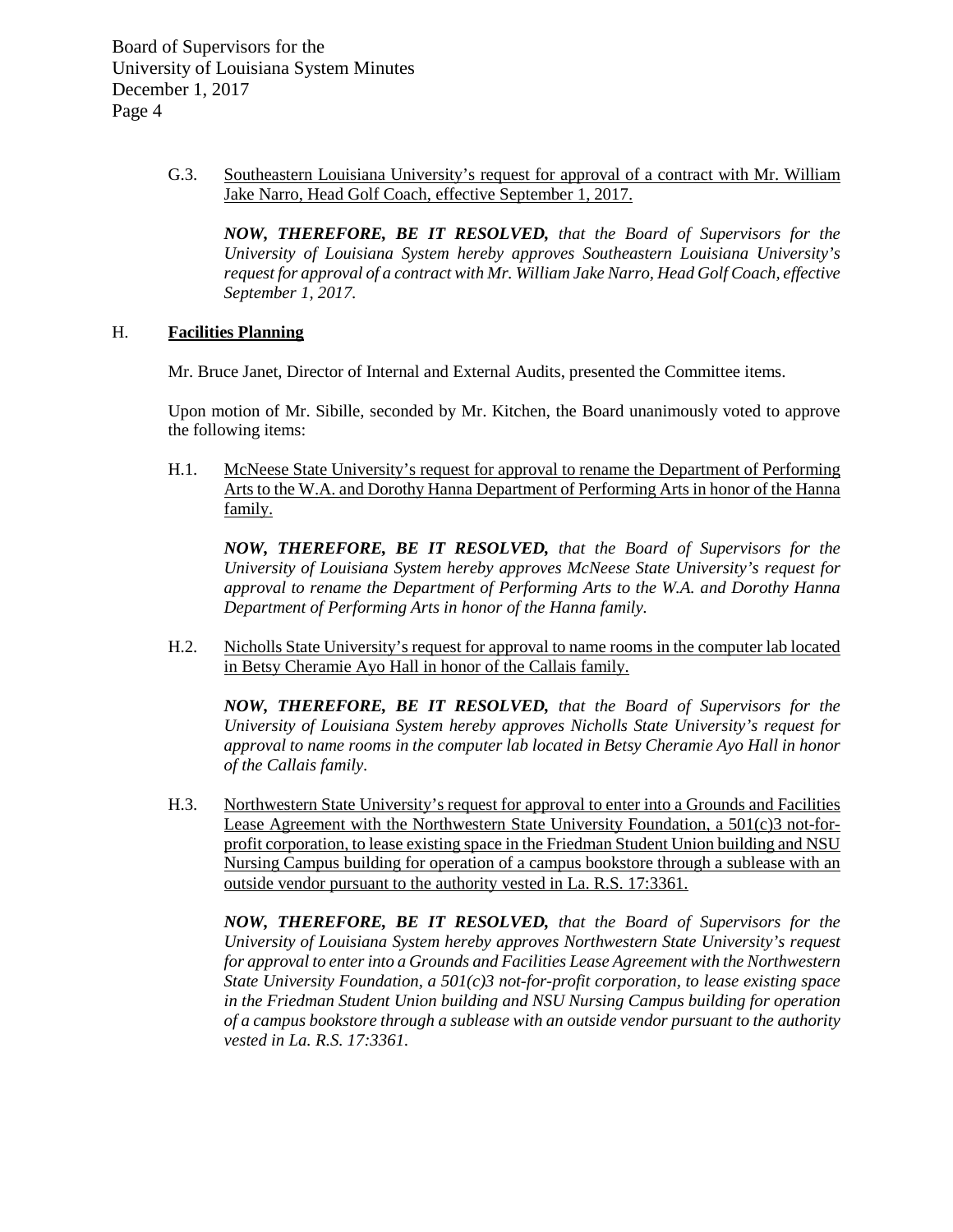> G.3. Southeastern Louisiana University's request for approval of a contract with Mr. William Jake Narro, Head Golf Coach, effective September 1, 2017.

*NOW, THEREFORE, BE IT RESOLVED, that the Board of Supervisors for the University of Louisiana System hereby approves Southeastern Louisiana University's request for approval of a contract with Mr. William Jake Narro, Head Golf Coach, effective September 1, 2017.*

## H. **Facilities Planning**

Mr. Bruce Janet, Director of Internal and External Audits, presented the Committee items.

Upon motion of Mr. Sibille, seconded by Mr. Kitchen, the Board unanimously voted to approve the following items:

H.1. McNeese State University's request for approval to rename the Department of Performing Arts to the W.A. and Dorothy Hanna Department of Performing Arts in honor of the Hanna family.

*NOW, THEREFORE, BE IT RESOLVED, that the Board of Supervisors for the University of Louisiana System hereby approves McNeese State University's request for approval to rename the Department of Performing Arts to the W.A. and Dorothy Hanna Department of Performing Arts in honor of the Hanna family.*

H.2. Nicholls State University's request for approval to name rooms in the computer lab located in Betsy Cheramie Ayo Hall in honor of the Callais family.

*NOW, THEREFORE, BE IT RESOLVED, that the Board of Supervisors for the University of Louisiana System hereby approves Nicholls State University's request for approval to name rooms in the computer lab located in Betsy Cheramie Ayo Hall in honor of the Callais family.*

H.3. Northwestern State University's request for approval to enter into a Grounds and Facilities Lease Agreement with the Northwestern State University Foundation, a 501(c)3 not-forprofit corporation, to lease existing space in the Friedman Student Union building and NSU Nursing Campus building for operation of a campus bookstore through a sublease with an outside vendor pursuant to the authority vested in La. R.S. 17:3361.

*NOW, THEREFORE, BE IT RESOLVED, that the Board of Supervisors for the University of Louisiana System hereby approves Northwestern State University's request for approval to enter into a Grounds and Facilities Lease Agreement with the Northwestern State University Foundation, a 501(c)3 not-for-profit corporation, to lease existing space in the Friedman Student Union building and NSU Nursing Campus building for operation of a campus bookstore through a sublease with an outside vendor pursuant to the authority vested in La. R.S. 17:3361.*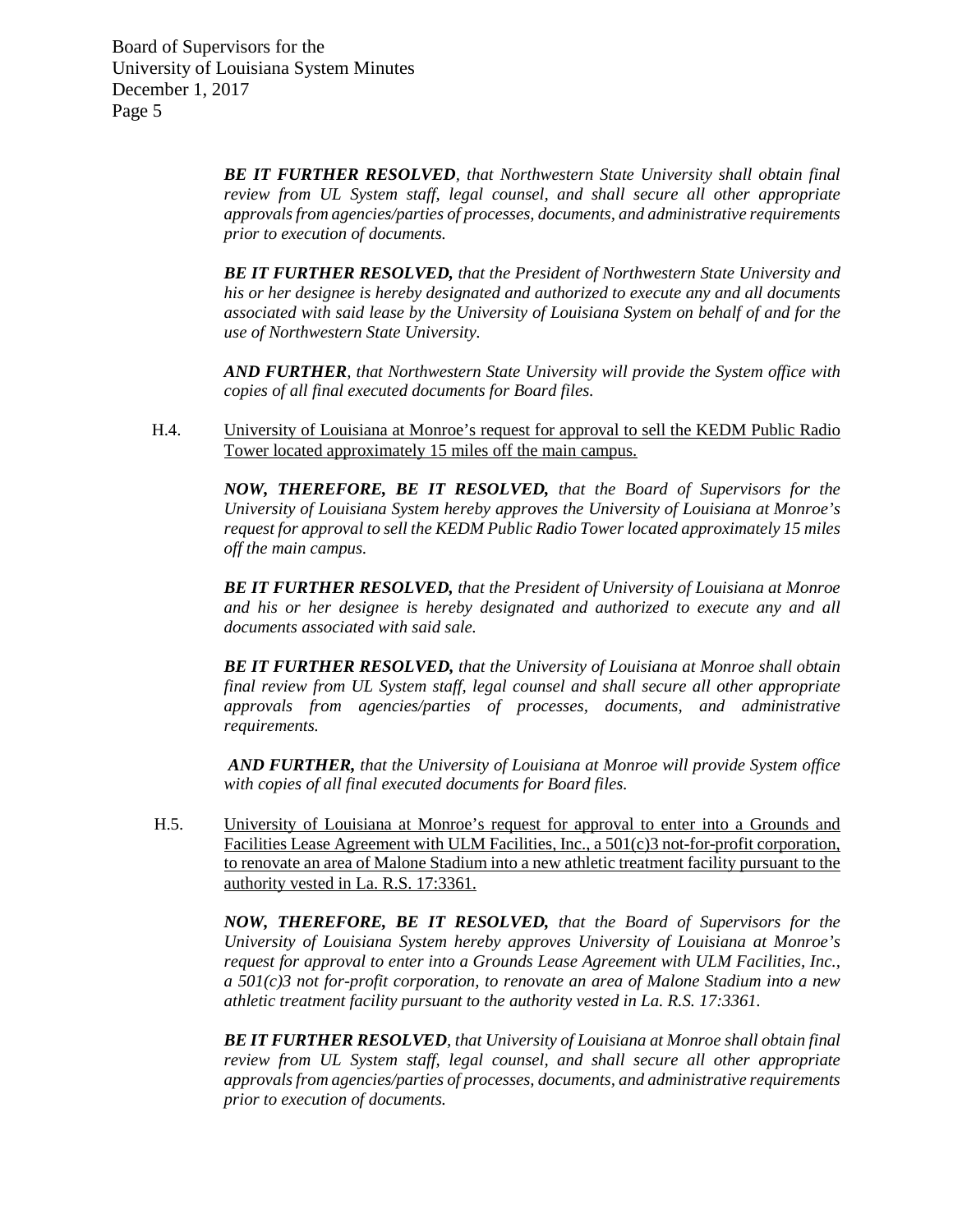> *BE IT FURTHER RESOLVED, that Northwestern State University shall obtain final review from UL System staff, legal counsel, and shall secure all other appropriate approvals from agencies/parties of processes, documents, and administrative requirements prior to execution of documents.*

> *BE IT FURTHER RESOLVED, that the President of Northwestern State University and his or her designee is hereby designated and authorized to execute any and all documents associated with said lease by the University of Louisiana System on behalf of and for the use of Northwestern State University.*

> *AND FURTHER, that Northwestern State University will provide the System office with copies of all final executed documents for Board files.*

H.4. University of Louisiana at Monroe's request for approval to sell the KEDM Public Radio Tower located approximately 15 miles off the main campus.

> *NOW, THEREFORE, BE IT RESOLVED, that the Board of Supervisors for the University of Louisiana System hereby approves the University of Louisiana at Monroe's request for approval to sell the KEDM Public Radio Tower located approximately 15 miles off the main campus.*

> *BE IT FURTHER RESOLVED, that the President of University of Louisiana at Monroe and his or her designee is hereby designated and authorized to execute any and all documents associated with said sale.*

> *BE IT FURTHER RESOLVED, that the University of Louisiana at Monroe shall obtain final review from UL System staff, legal counsel and shall secure all other appropriate approvals from agencies/parties of processes, documents, and administrative requirements.*

> *AND FURTHER, that the University of Louisiana at Monroe will provide System office with copies of all final executed documents for Board files.*

H.5. University of Louisiana at Monroe's request for approval to enter into a Grounds and Facilities Lease Agreement with ULM Facilities, Inc., a 501(c)3 not-for-profit corporation, to renovate an area of Malone Stadium into a new athletic treatment facility pursuant to the authority vested in La. R.S. 17:3361.

> *NOW, THEREFORE, BE IT RESOLVED, that the Board of Supervisors for the University of Louisiana System hereby approves University of Louisiana at Monroe's request for approval to enter into a Grounds Lease Agreement with ULM Facilities, Inc., a 501(c)3 not for-profit corporation, to renovate an area of Malone Stadium into a new athletic treatment facility pursuant to the authority vested in La. R.S. 17:3361.*

> *BE IT FURTHER RESOLVED, that University of Louisiana at Monroe shall obtain final review from UL System staff, legal counsel, and shall secure all other appropriate approvals from agencies/parties of processes, documents, and administrative requirements prior to execution of documents.*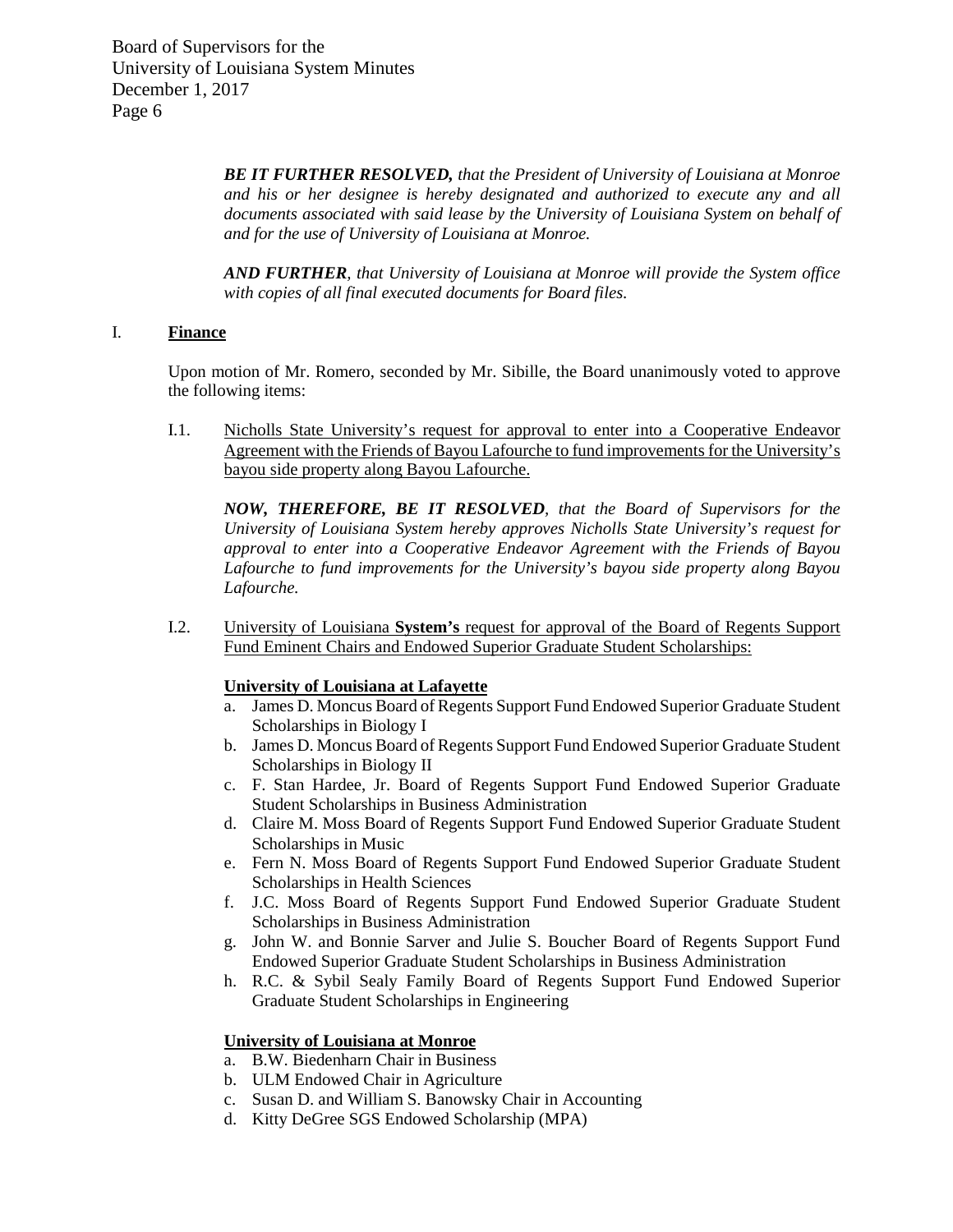> *BE IT FURTHER RESOLVED, that the President of University of Louisiana at Monroe and his or her designee is hereby designated and authorized to execute any and all documents associated with said lease by the University of Louisiana System on behalf of and for the use of University of Louisiana at Monroe.*

> *AND FURTHER, that University of Louisiana at Monroe will provide the System office with copies of all final executed documents for Board files.*

# I. **Finance**

Upon motion of Mr. Romero, seconded by Mr. Sibille, the Board unanimously voted to approve the following items:

I.1. Nicholls State University's request for approval to enter into a Cooperative Endeavor Agreement with the Friends of Bayou Lafourche to fund improvements for the University's bayou side property along Bayou Lafourche.

*NOW, THEREFORE, BE IT RESOLVED, that the Board of Supervisors for the University of Louisiana System hereby approves Nicholls State University's request for approval to enter into a Cooperative Endeavor Agreement with the Friends of Bayou Lafourche to fund improvements for the University's bayou side property along Bayou Lafourche.* 

I.2. University of Louisiana **System's** request for approval of the Board of Regents Support Fund Eminent Chairs and Endowed Superior Graduate Student Scholarships:

# **University of Louisiana at Lafayette**

- a. James D. Moncus Board of Regents Support Fund Endowed Superior Graduate Student Scholarships in Biology I
- b. James D. Moncus Board of Regents Support Fund Endowed Superior Graduate Student Scholarships in Biology II
- c. F. Stan Hardee, Jr. Board of Regents Support Fund Endowed Superior Graduate Student Scholarships in Business Administration
- d. Claire M. Moss Board of Regents Support Fund Endowed Superior Graduate Student Scholarships in Music
- e. Fern N. Moss Board of Regents Support Fund Endowed Superior Graduate Student Scholarships in Health Sciences
- f. J.C. Moss Board of Regents Support Fund Endowed Superior Graduate Student Scholarships in Business Administration
- g. John W. and Bonnie Sarver and Julie S. Boucher Board of Regents Support Fund Endowed Superior Graduate Student Scholarships in Business Administration
- h. R.C. & Sybil Sealy Family Board of Regents Support Fund Endowed Superior Graduate Student Scholarships in Engineering

### **University of Louisiana at Monroe**

- a. B.W. Biedenharn Chair in Business
- b. ULM Endowed Chair in Agriculture
- c. Susan D. and William S. Banowsky Chair in Accounting
- d. Kitty DeGree SGS Endowed Scholarship (MPA)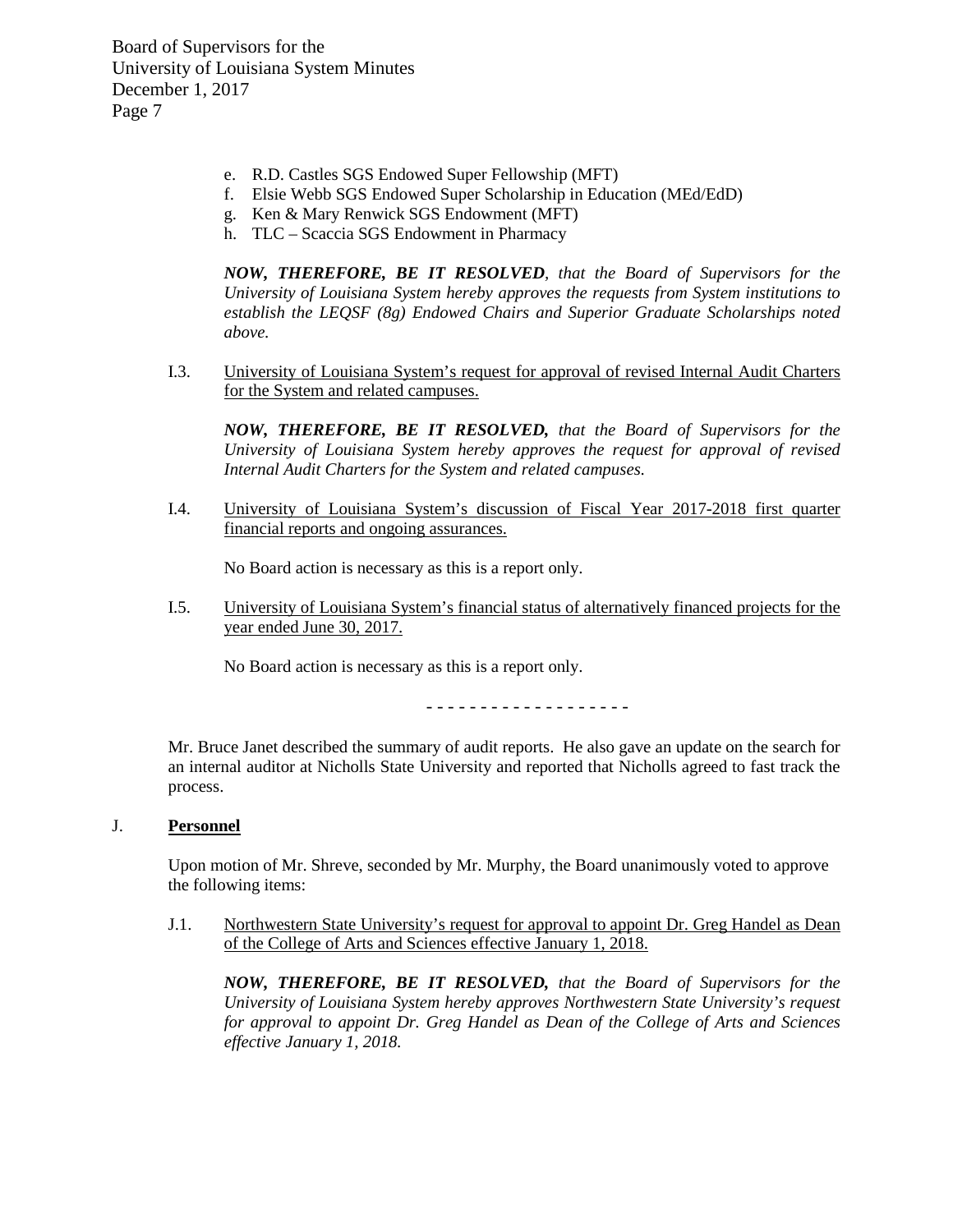- e. R.D. Castles SGS Endowed Super Fellowship (MFT)
- f. Elsie Webb SGS Endowed Super Scholarship in Education (MEd/EdD)
- g. Ken & Mary Renwick SGS Endowment (MFT)
- h. TLC Scaccia SGS Endowment in Pharmacy

*NOW, THEREFORE, BE IT RESOLVED, that the Board of Supervisors for the University of Louisiana System hereby approves the requests from System institutions to establish the LEQSF (8g) Endowed Chairs and Superior Graduate Scholarships noted above.*

I.3. University of Louisiana System's request for approval of revised Internal Audit Charters for the System and related campuses.

*NOW, THEREFORE, BE IT RESOLVED, that the Board of Supervisors for the University of Louisiana System hereby approves the request for approval of revised Internal Audit Charters for the System and related campuses.*

I.4. University of Louisiana System's discussion of Fiscal Year 2017-2018 first quarter financial reports and ongoing assurances.

No Board action is necessary as this is a report only.

I.5. University of Louisiana System's financial status of alternatively financed projects for the year ended June 30, 2017.

No Board action is necessary as this is a report only.

- - - - - - - - - - - - - - - - - - -

Mr. Bruce Janet described the summary of audit reports. He also gave an update on the search for an internal auditor at Nicholls State University and reported that Nicholls agreed to fast track the process.

### J. **Personnel**

Upon motion of Mr. Shreve, seconded by Mr. Murphy, the Board unanimously voted to approve the following items:

J.1. Northwestern State University's request for approval to appoint Dr. Greg Handel as Dean of the College of Arts and Sciences effective January 1, 2018.

*NOW, THEREFORE, BE IT RESOLVED, that the Board of Supervisors for the University of Louisiana System hereby approves Northwestern State University's request for approval to appoint Dr. Greg Handel as Dean of the College of Arts and Sciences effective January 1, 2018.*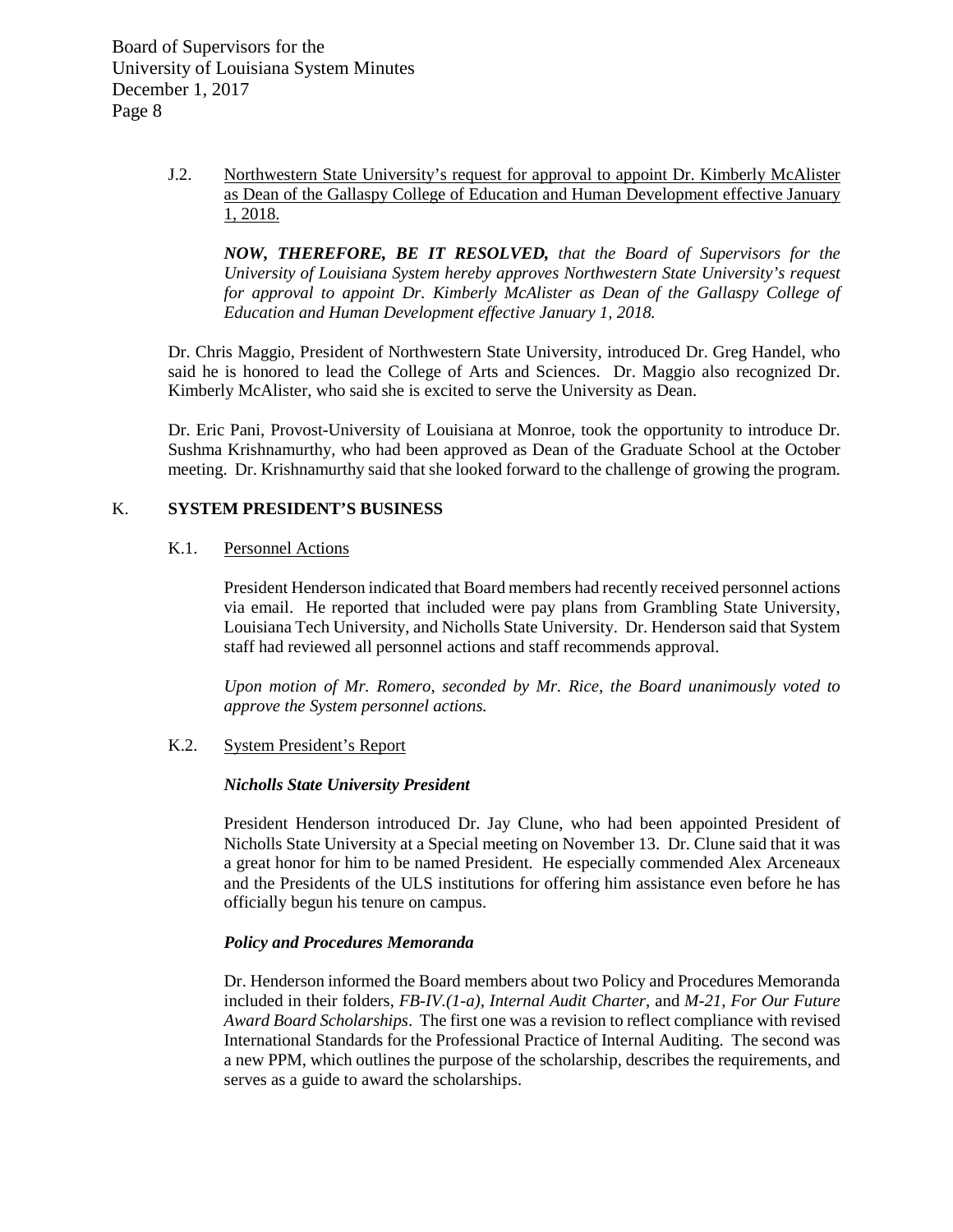> J.2. Northwestern State University's request for approval to appoint Dr. Kimberly McAlister as Dean of the Gallaspy College of Education and Human Development effective January 1, 2018.

*NOW, THEREFORE, BE IT RESOLVED, that the Board of Supervisors for the University of Louisiana System hereby approves Northwestern State University's request for approval to appoint Dr. Kimberly McAlister as Dean of the Gallaspy College of Education and Human Development effective January 1, 2018.*

Dr. Chris Maggio, President of Northwestern State University, introduced Dr. Greg Handel, who said he is honored to lead the College of Arts and Sciences. Dr. Maggio also recognized Dr. Kimberly McAlister, who said she is excited to serve the University as Dean.

Dr. Eric Pani, Provost-University of Louisiana at Monroe, took the opportunity to introduce Dr. Sushma Krishnamurthy, who had been approved as Dean of the Graduate School at the October meeting. Dr. Krishnamurthy said that she looked forward to the challenge of growing the program.

# K. **SYSTEM PRESIDENT'S BUSINESS**

# K.1. Personnel Actions

President Henderson indicated that Board members had recently received personnel actions via email. He reported that included were pay plans from Grambling State University, Louisiana Tech University, and Nicholls State University. Dr. Henderson said that System staff had reviewed all personnel actions and staff recommends approval.

*Upon motion of Mr. Romero, seconded by Mr. Rice, the Board unanimously voted to approve the System personnel actions.*

### K.2. System President's Report

### *Nicholls State University President*

President Henderson introduced Dr. Jay Clune, who had been appointed President of Nicholls State University at a Special meeting on November 13. Dr. Clune said that it was a great honor for him to be named President. He especially commended Alex Arceneaux and the Presidents of the ULS institutions for offering him assistance even before he has officially begun his tenure on campus.

# *Policy and Procedures Memoranda*

Dr. Henderson informed the Board members about two Policy and Procedures Memoranda included in their folders, *FB-IV.(1-a), Internal Audit Charter*, and *M-21, For Our Future Award Board Scholarships*. The first one was a revision to reflect compliance with revised International Standards for the Professional Practice of Internal Auditing. The second was a new PPM, which outlines the purpose of the scholarship, describes the requirements, and serves as a guide to award the scholarships.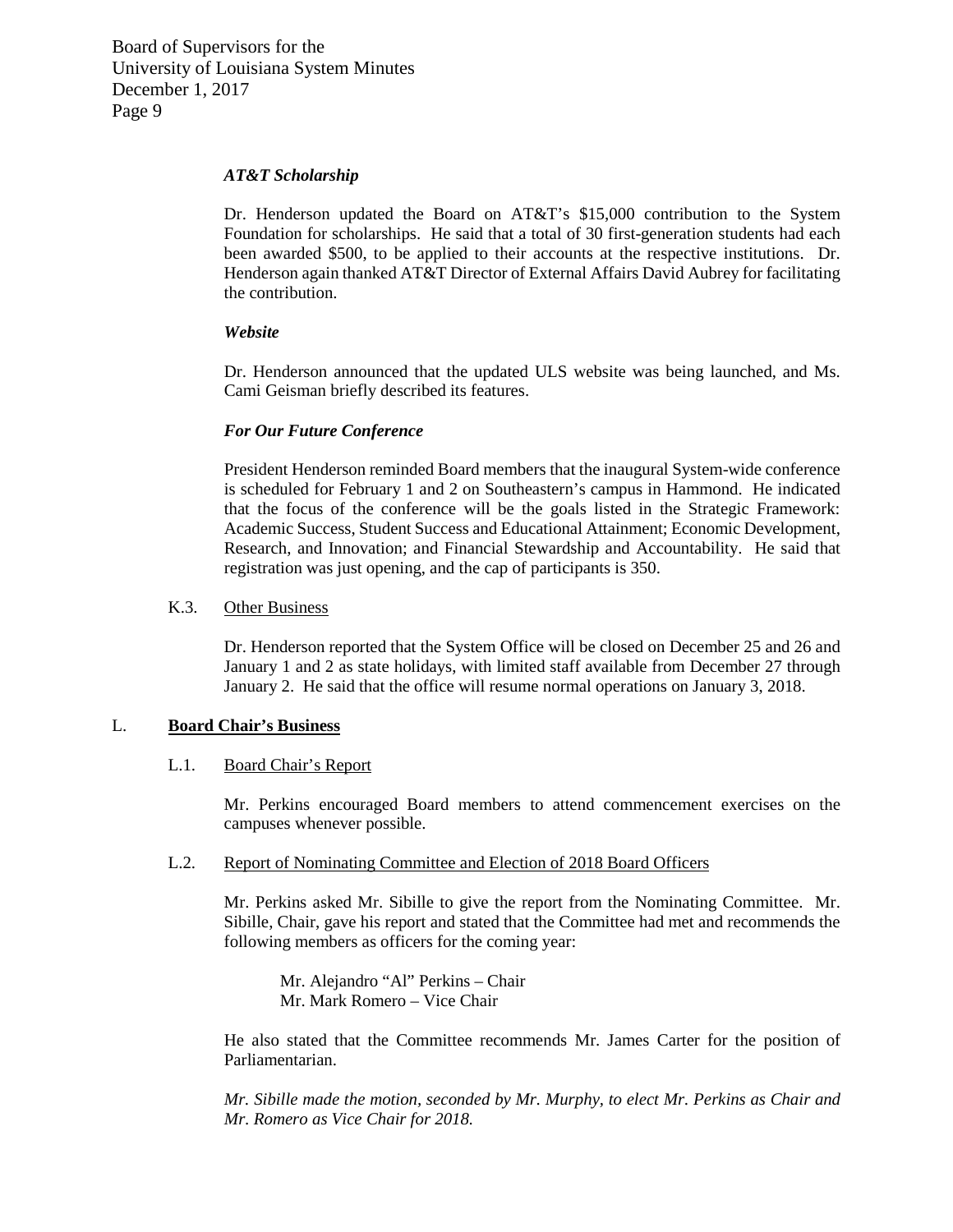### *AT&T Scholarship*

Dr. Henderson updated the Board on AT&T's \$15,000 contribution to the System Foundation for scholarships. He said that a total of 30 first-generation students had each been awarded \$500, to be applied to their accounts at the respective institutions. Dr. Henderson again thanked AT&T Director of External Affairs David Aubrey for facilitating the contribution.

## *Website*

Dr. Henderson announced that the updated ULS website was being launched, and Ms. Cami Geisman briefly described its features.

# *For Our Future Conference*

President Henderson reminded Board members that the inaugural System-wide conference is scheduled for February 1 and 2 on Southeastern's campus in Hammond. He indicated that the focus of the conference will be the goals listed in the Strategic Framework: Academic Success, Student Success and Educational Attainment; Economic Development, Research, and Innovation; and Financial Stewardship and Accountability. He said that registration was just opening, and the cap of participants is 350.

## K.3. Other Business

Dr. Henderson reported that the System Office will be closed on December 25 and 26 and January 1 and 2 as state holidays, with limited staff available from December 27 through January 2. He said that the office will resume normal operations on January 3, 2018.

### L. **Board Chair's Business**

### L.1. Board Chair's Report

Mr. Perkins encouraged Board members to attend commencement exercises on the campuses whenever possible.

# L.2. Report of Nominating Committee and Election of 2018 Board Officers

Mr. Perkins asked Mr. Sibille to give the report from the Nominating Committee. Mr. Sibille, Chair, gave his report and stated that the Committee had met and recommends the following members as officers for the coming year:

Mr. Alejandro "Al" Perkins – Chair Mr. Mark Romero – Vice Chair

He also stated that the Committee recommends Mr. James Carter for the position of Parliamentarian.

*Mr. Sibille made the motion, seconded by Mr. Murphy, to elect Mr. Perkins as Chair and Mr. Romero as Vice Chair for 2018.*